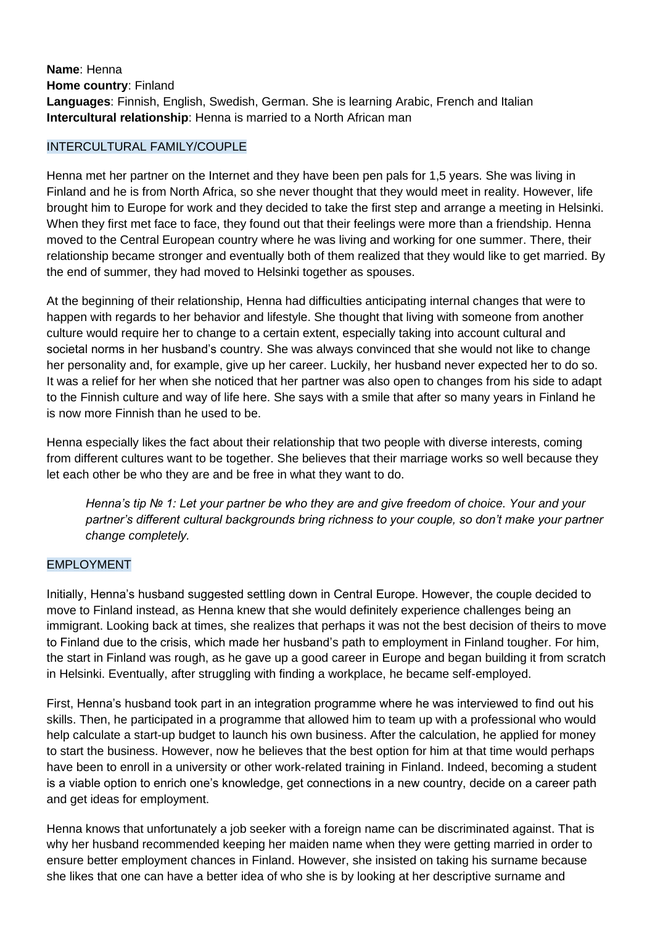**Name**: Henna **Home country**: Finland **Languages**: Finnish, English, Swedish, German. She is learning Arabic, French and Italian **Intercultural relationship**: Henna is married to a North African man

## INTERCULTURAL FAMILY/COUPLE

Henna met her partner on the Internet and they have been pen pals for 1,5 years. She was living in Finland and he is from North Africa, so she never thought that they would meet in reality. However, life brought him to Europe for work and they decided to take the first step and arrange a meeting in Helsinki. When they first met face to face, they found out that their feelings were more than a friendship. Henna moved to the Central European country where he was living and working for one summer. There, their relationship became stronger and eventually both of them realized that they would like to get married. By the end of summer, they had moved to Helsinki together as spouses.

At the beginning of their relationship, Henna had difficulties anticipating internal changes that were to happen with regards to her behavior and lifestyle. She thought that living with someone from another culture would require her to change to a certain extent, especially taking into account cultural and societal norms in her husband's country. She was always convinced that she would not like to change her personality and, for example, give up her career. Luckily, her husband never expected her to do so. It was a relief for her when she noticed that her partner was also open to changes from his side to adapt to the Finnish culture and way of life here. She says with a smile that after so many years in Finland he is now more Finnish than he used to be.

Henna especially likes the fact about their relationship that two people with diverse interests, coming from different cultures want to be together. She believes that their marriage works so well because they let each other be who they are and be free in what they want to do.

*Henna's tip № 1: Let your partner be who they are and give freedom of choice. Your and your partner's different cultural backgrounds bring richness to your couple, so don't make your partner change completely.* 

## EMPLOYMENT

Initially, Henna's husband suggested settling down in Central Europe. However, the couple decided to move to Finland instead, as Henna knew that she would definitely experience challenges being an immigrant. Looking back at times, she realizes that perhaps it was not the best decision of theirs to move to Finland due to the crisis, which made her husband's path to employment in Finland tougher. For him, the start in Finland was rough, as he gave up a good career in Europe and began building it from scratch in Helsinki. Eventually, after struggling with finding a workplace, he became self-employed.

First, Henna's husband took part in an integration programme where he was interviewed to find out his skills. Then, he participated in a programme that allowed him to team up with a professional who would help calculate a start-up budget to launch his own business. After the calculation, he applied for money to start the business. However, now he believes that the best option for him at that time would perhaps have been to enroll in a university or other work-related training in Finland. Indeed, becoming a student is a viable option to enrich one's knowledge, get connections in a new country, decide on a career path and get ideas for employment.

Henna knows that unfortunately a job seeker with a foreign name can be discriminated against. That is why her husband recommended keeping her maiden name when they were getting married in order to ensure better employment chances in Finland. However, she insisted on taking his surname because she likes that one can have a better idea of who she is by looking at her descriptive surname and